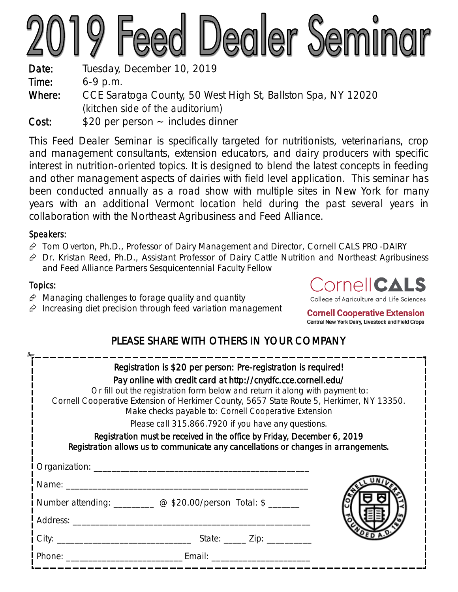# Dealer Seminar

Date: Tuesday, December 10, 2019

- *Time:* 6-9 p.m.
- *Where:* CCE Saratoga County, 50 West High St, Ballston Spa, NY 12020 *(kitchen side of the auditorium)*
- *Cost:* \$20 per person ~ includes dinner

This Feed Dealer Seminar is specifically targeted for nutritionists, veterinarians, crop and management consultants, extension educators, and dairy producers with specific interest in nutrition-oriented topics. It is designed to blend the latest concepts in feeding and other management aspects of dairies with field level application. This seminar has been conducted annually as a road show with multiple sites in New York for many years with an additional Vermont location held during the past several years in collaboration with the Northeast Agribusiness and Feed Alliance.

## *Speakers:*

- Tom Overton, Ph.D., Professor of Dairy Management and Director, Cornell CALS PRO-DAIRY
- Dr. Kristan Reed, Ph.D., Assistant Professor of Dairy Cattle Nutrition and Northeast Agribusiness and Feed Alliance Partners Sesquicentennial Faculty Fellow

# *Topics:*

- $\hat{\varphi}$  Managing challenges to forage quality and quantity
- $\hat{\varphi}$  Increasing diet precision through feed variation management



**Cornell Cooperative Extension** Central New York Dairy, Livestock and Field Crops

# PLEASE SHARE WITH OTHERS IN YOUR COMPANY

| Registration is \$20 per person: Pre-registration is required!<br>Pay online with credit card at http://cnydfc.cce.cornell.edu/<br>Or fill out the registration form below and return it along with payment to:<br>Cornell Cooperative Extension of Herkimer County, 5657 State Route 5, Herkimer, NY 13350.<br>Make checks payable to: Cornell Cooperative Extension |                                                                                   |  |
|-----------------------------------------------------------------------------------------------------------------------------------------------------------------------------------------------------------------------------------------------------------------------------------------------------------------------------------------------------------------------|-----------------------------------------------------------------------------------|--|
| Please call 315.866.7920 if you have any questions.                                                                                                                                                                                                                                                                                                                   |                                                                                   |  |
| Registration must be received in the office by Friday, December 6, 2019<br>Registration allows us to communicate any cancellations or changes in arrangements.                                                                                                                                                                                                        |                                                                                   |  |
|                                                                                                                                                                                                                                                                                                                                                                       |                                                                                   |  |
|                                                                                                                                                                                                                                                                                                                                                                       |                                                                                   |  |
|                                                                                                                                                                                                                                                                                                                                                                       | Number attending: $\qquad \qquad \varpi$ \$20.00/person Total: \$ $\qquad \qquad$ |  |
|                                                                                                                                                                                                                                                                                                                                                                       |                                                                                   |  |
|                                                                                                                                                                                                                                                                                                                                                                       |                                                                                   |  |
|                                                                                                                                                                                                                                                                                                                                                                       |                                                                                   |  |